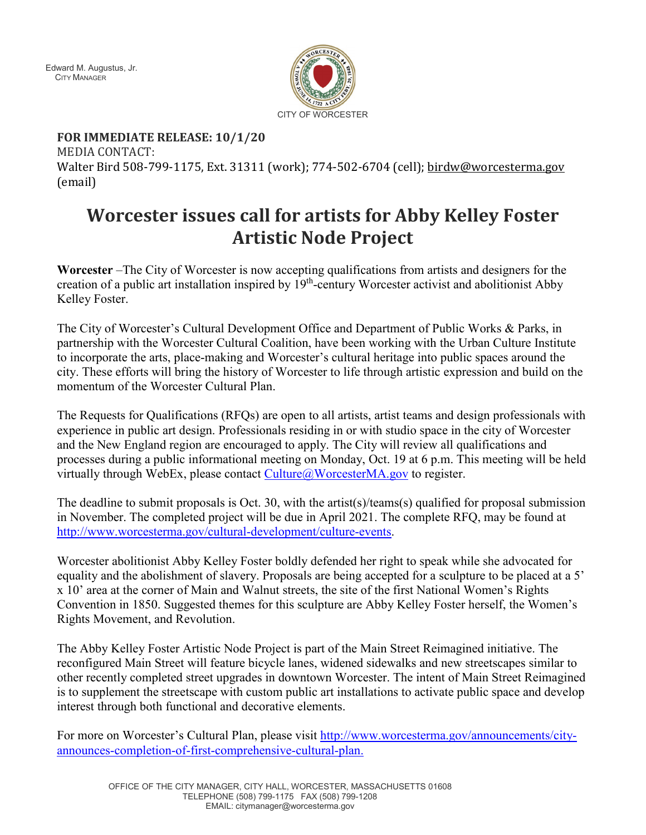Edward M. Augustus, Jr. CITY MANAGER



**FOR IMMEDIATE RELEASE: 10/1/20** MEDIA CONTACT: Walter Bird 508-799-1175, Ext. 31311 (work); 774-502-6704 (cell); [birdw@worcesterma.gov](mailto:birdw@worcesterma.gov) (email)

## **Worcester issues call for artists for Abby Kelley Foster Artistic Node Project**

**Worcester** –The City of Worcester is now accepting qualifications from artists and designers for the creation of a public art installation inspired by 19th-century Worcester activist and abolitionist Abby Kelley Foster.

The City of Worcester's Cultural Development Office and Department of Public Works & Parks, in partnership with the Worcester Cultural Coalition, have been working with the Urban Culture Institute to incorporate the arts, place-making and Worcester's cultural heritage into public spaces around the city. These efforts will bring the history of Worcester to life through artistic expression and build on the momentum of the Worcester Cultural Plan.

The Requests for Qualifications (RFQs) are open to all artists, artist teams and design professionals with experience in public art design. Professionals residing in or with studio space in the city of Worcester and the New England region are encouraged to apply. The City will review all qualifications and processes during a public informational meeting on Monday, Oct. 19 at 6 p.m. This meeting will be held virtually through WebEx, please contact  $Cutture@/WoresterMA.gov$  to register.

The deadline to submit proposals is Oct. 30, with the artist(s)/teams(s) qualified for proposal submission in November. The completed project will be due in April 2021. The complete RFQ, may be found at [http://www.worcesterma.gov/cultural-development/culture-events.](http://www.worcesterma.gov/cultural-development/culture-events)

Worcester abolitionist Abby Kelley Foster boldly defended her right to speak while she advocated for equality and the abolishment of slavery. Proposals are being accepted for a sculpture to be placed at a 5' x 10' area at the corner of Main and Walnut streets, the site of the first National Women's Rights Convention in 1850. Suggested themes for this sculpture are Abby Kelley Foster herself, the Women's Rights Movement, and Revolution.

The Abby Kelley Foster Artistic Node Project is part of the Main Street Reimagined initiative. The reconfigured Main Street will feature bicycle lanes, widened sidewalks and new streetscapes similar to other recently completed street upgrades in downtown Worcester. The intent of Main Street Reimagined is to supplement the streetscape with custom public art installations to activate public space and develop interest through both functional and decorative elements.

For more on Worcester's Cultural Plan, please visit [http://www.worcesterma.gov/announcements/city](http://www.worcesterma.gov/announcements/city-announces-completion-of-first-comprehensive-cultural-plan)[announces-completion-of-first-comprehensive-cultural-plan.](http://www.worcesterma.gov/announcements/city-announces-completion-of-first-comprehensive-cultural-plan)